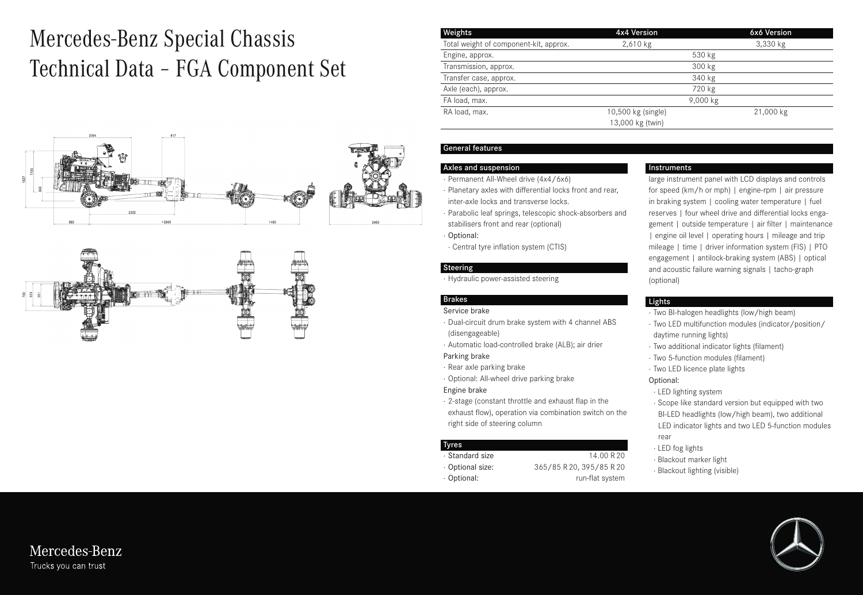# Mercedes-Benz Special Chassis Technical Data – FGA Component Set





| Weights                                | 4x4 Version        | 6x6 Version |
|----------------------------------------|--------------------|-------------|
| Total weight of component-kit, approx. | 2,610 kg           | 3,330 kg    |
| Engine, approx.                        |                    | 530 kg      |
| Transmission, approx.                  |                    | 300 kg      |
| Transfer case, approx.                 |                    | 340 kg      |
| Axle (each), approx.                   |                    | 720 kg      |
| FA load, max.                          |                    | 9,000 kg    |
| RA load, max.                          | 10,500 kg (single) | 21,000 kg   |
|                                        | 13,000 kg (twin)   |             |

#### Axles and suspension

- · Permanent All-Wheel drive (4x4/6x6)
- · Planetary axles with differential locks front and rear, inter-axle locks and transverse locks.
- · Parabolic leaf springs, telescopic shock-absorbers and stabilisers front and rear (optional)
- · Optional:
- · Central tyre inflation system (CTIS)

#### Steering

· Hydraulic power-assisted steering

#### Brakes

- Service brake
- · Dual-circuit drum brake system with 4 channel ABS (disengageable)
- · Automatic load-controlled brake (ALB); air drier Parking brake
- · Rear axle parking brake
- · Optional: All-wheel drive parking brake

#### Engine brake

· 2-stage (constant throttle and exhaust flap in the exhaust flow), operation via combination switch on the right side of steering column

#### Tyres

- · Standard size 14.00 R 20
- 
- · Optional size: 365/85 R 20, 395/85 R 20 · Optional: The contract of the contract of the contract of the contract of the contract of the contract of the contract of the contract of the contract of the contract of the contract of the contract of the contract of th

#### Instruments

large instrument panel with LCD displays and controls for speed (km/h or mph) | engine-rpm | air pressure in braking system | cooling water temperature | fuel reserves | four wheel drive and differential locks engagement | outside temperature | air filter | maintenance | engine oil level | operating hours | mileage and trip mileage | time | driver information system (FIS) | PTO engagement | antilock-braking system (ABS) | optical and acoustic failure warning signals | tacho-graph (optional)

#### Lights

- · Two BI-halogen headlights (low/high beam)
- · Two LED multifunction modules (indicator/position/ daytime running lights)
- · Two additional indicator lights (filament)
- · Two 5-function modules (filament)
- · Two LED licence plate lights

Optional:

- · LED lighting system
- · Scope like standard version but equipped with two BI-LED headlights (low/high beam), two additional LED indicator lights and two LED 5-function modules rear
- · LED fog lights
- · Blackout marker light
- · Blackout lighting (visible)



Mercedes-Benz Trucks you can trust